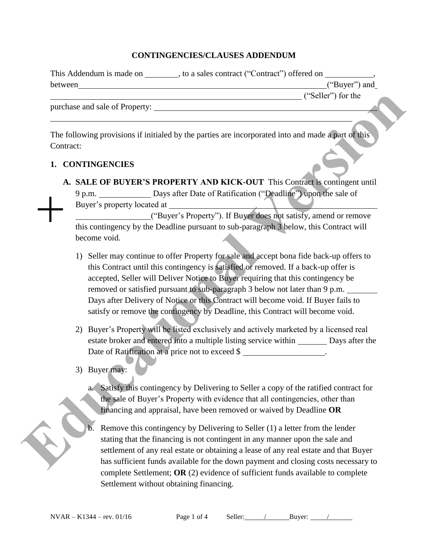## **CONTINGENCIES/CLAUSES ADDENDUM**

| This Addendum is made on | to a sales contract ("Contract") offered on |                    |  |
|--------------------------|---------------------------------------------|--------------------|--|
| between                  |                                             | ("Buyer") and      |  |
|                          |                                             | ("Seller") for the |  |

purchase and sale of Property:

The following provisions if initialed by the parties are incorporated into and made a part of this Contract:

## **1. CONTINGENCIES**

**A. SALE OF BUYER'S PROPERTY AND KICK-OUT** This Contract is contingent until 9 p.m. Days after Date of Ratification ("Deadline") upon the sale of Buyer's property located at ("Seller") for the<br>
orporated into and made a part of this<br> **VECALATE:** Contract is contingent until<br>
tion ("Deadline") upon the sale of<br>
yer does not satisfy, amend or remove<br>
paragraph 3 below, this Contract will

 ("Buyer's Property"). If Buyer does not satisfy, amend or remove this contingency by the Deadline pursuant to sub-paragraph 3 below, this Contract will become void.

- 1) Seller may continue to offer Property for sale and accept bona fide back-up offers to this Contract until this contingency is satisfied or removed. If a back-up offer is accepted, Seller will Deliver Notice to Buyer requiring that this contingency be removed or satisfied pursuant to sub-paragraph 3 below not later than 9 p.m. Days after Delivery of Notice or this Contract will become void. If Buyer fails to satisfy or remove the contingency by Deadline, this Contract will become void. become void.<br>
1) Seller may continue to offer Property for sale and acce<br>
this Contract until this contingency is satisfied or remeascepted, Seller will Deliver Notice to Buyer requiring<br>
removed or satisfied pursuant to s
	- 2) Buyer's Property will be listed exclusively and actively marketed by a licensed real estate broker and entered into a multiple listing service within Days after the Date of Ratification at a price not to exceed \$
	- 3) Buyer may:
		- a. Satisfy this contingency by Delivering to Seller a copy of the ratified contract for the sale of Buyer's Property with evidence that all contingencies, other than financing and appraisal, have been removed or waived by Deadline **OR**
		- b. Remove this contingency by Delivering to Seller (1) a letter from the lender stating that the financing is not contingent in any manner upon the sale and settlement of any real estate or obtaining a lease of any real estate and that Buyer has sufficient funds available for the down payment and closing costs necessary to complete Settlement; **OR** (2) evidence of sufficient funds available to complete Settlement without obtaining financing.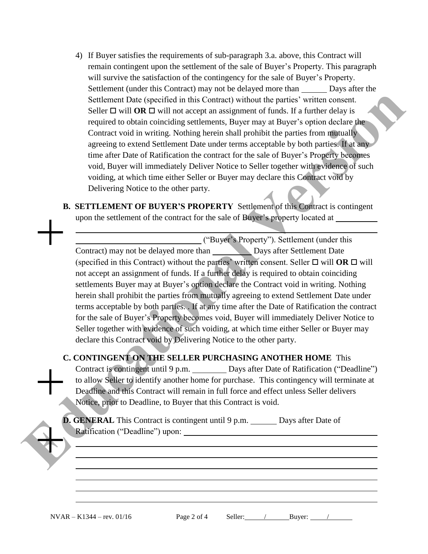- 4) If Buyer satisfies the requirements of sub-paragraph 3.a. above, this Contract will remain contingent upon the settlement of the sale of Buyer's Property. This paragraph will survive the satisfaction of the contingency for the sale of Buyer's Property. Settlement (under this Contract) may not be delayed more than Days after the Settlement Date (specified in this Contract) without the parties' written consent. Seller  $\Box$  will **OR**  $\Box$  will not accept an assignment of funds. If a further delay is required to obtain coinciding settlements, Buyer may at Buyer's option declare the Contract void in writing. Nothing herein shall prohibit the parties from mutually agreeing to extend Settlement Date under terms acceptable by both parties. If at any time after Date of Ratification the contract for the sale of Buyer's Property becomes void, Buyer will immediately Deliver Notice to Seller together with evidence of such voiding, at which time either Seller or Buyer may declare this Contract void by Delivering Notice to the other party.
- **B. SETTLEMENT OF BUYER'S PROPERTY** Settlement of this Contract is contingent upon the settlement of the contract for the sale of Buyer's property located at

 ("Buyer's Property"). Settlement (under this Contract) may not be delayed more than Days after Settlement Date (specified in this Contract) without the parties' written consent. Seller  $\Box$  will **OR**  $\Box$  will not accept an assignment of funds. If a further delay is required to obtain coinciding settlements Buyer may at Buyer's option declare the Contract void in writing. Nothing herein shall prohibit the parties from mutually agreeing to extend Settlement Date under terms acceptable by both parties. . If at any time after the Date of Ratification the contract for the sale of Buyer's Property becomes void, Buyer will immediately Deliver Notice to Seller together with evidence of such voiding, at which time either Seller or Buyer may declare this Contract void by Delivering Notice to the other party. Scribement Data (specified in this Contract) without the parties' written consent.<br>
Select D'att Data collistical in this mass proses on function declares the required of both an incidence of the specifical version of the

## **C. CONTINGENT ON THE SELLER PURCHASING ANOTHER HOME** This

Contract is contingent until 9 p.m. Days after Date of Ratification ("Deadline") to allow Seller to identify another home for purchase. This contingency will terminate at Deadline and this Contract will remain in full force and effect unless Seller delivers Notice, prior to Deadline, to Buyer that this Contract is void.

**D. GENERAL** This Contract is contingent until 9 p.m. Days after Date of Ratification ("Deadline") upon:

 $NVAR - K1344 - rev. 01/16$  Page 2 of 4 Seller: / Buyer:

 $\overline{a}$ 

l

| age 2 of 4 |  |  |  |  |  |
|------------|--|--|--|--|--|
|------------|--|--|--|--|--|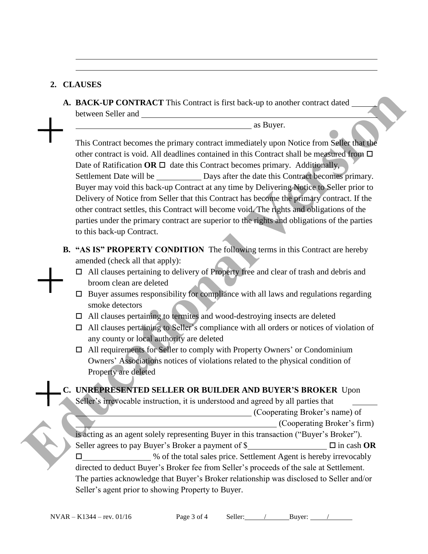## **2. CLAUSES**

 $\overline{a}$ l

**A. BACK-UP CONTRACT** This Contract is first back-up to another contract dated between Seller and

as Buyer.

This Contract becomes the primary contract immediately upon Notice from Seller that the other contract is void. All deadlines contained in this Contract shall be measured from  $\Box$ Date of Ratification  $OR \square$  date this Contract becomes primary. Additionally, Settlement Date will be  $\qquad \qquad$  Days after the date this Contract becomes primary. Buyer may void this back-up Contract at any time by Delivering Notice to Seller prior to Delivery of Notice from Seller that this Contract has become the primary contract. If the other contract settles, this Contract will become void. The rights and obligations of the parties under the primary contract are superior to the rights and obligations of the parties to this back-up Contract. **EXACTE CONTRACT** This Contract is first back-up to another contract dated<br>
between Sciler and<br>
the primary contract inmediately upon Notice from Stiller that sub-<br>
other contract is void. All decides contained in this Con

- **B. "AS IS" PROPERTY CONDITION** The following terms in this Contract are hereby amended (check all that apply):
	- □ All clauses pertaining to delivery of Property free and clear of trash and debris and broom clean are deleted
	- $\square$  Buyer assumes responsibility for compliance with all laws and regulations regarding smoke detectors
	- $\Box$  All clauses pertaining to termites and wood-destroying insects are deleted
	- $\Box$  All clauses pertaining to Seller's compliance with all orders or notices of violation of any county or local authority are deleted
	- □ All requirements for Seller to comply with Property Owners' or Condominium Owners' Associations notices of violations related to the physical condition of Property are deleted

**C. UNREPRESENTED SELLER OR BUILDER AND BUYER'S BROKER** Upon

Seller's irrevocable instruction, it is understood and agreed by all parties that

(Cooperating Broker's name) of

(Cooperating Broker's firm)

is acting as an agent solely representing Buyer in this transaction ("Buyer's Broker"). Seller agrees to pay Buyer's Broker a payment of \$  $\Box$  in cash **OR**  $\square$  % of the total sales price. Settlement Agent is hereby irrevocably

directed to deduct Buyer's Broker fee from Seller's proceeds of the sale at Settlement. The parties acknowledge that Buyer's Broker relationship was disclosed to Seller and/or Seller's agent prior to showing Property to Buyer.